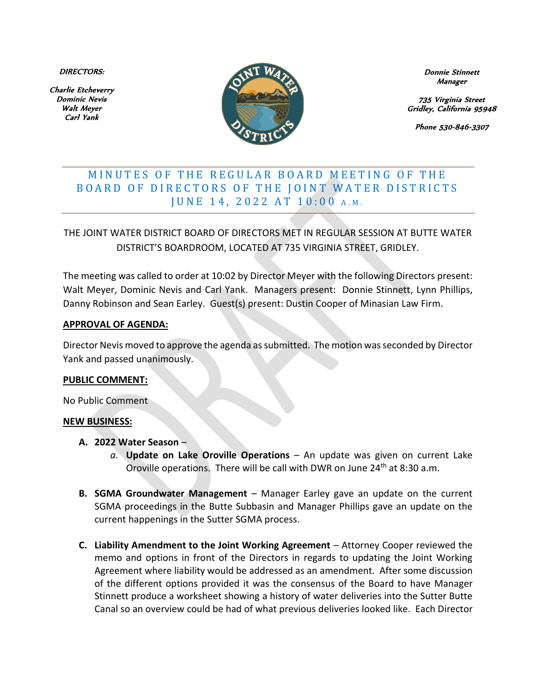DIRECTORS:

Charlie Etcheverry Dominic Nevis Walt Meyer Carl Yank



Donnie Stinnett Manager

735 Virginia Street Gridley, California 95948

Phone 530-846-3307

# MINUTES OF THE REGULAR BOARD MEETING OF THE BOARD OF DIRECTORS OF THE JOINT WATER DISTRICTS J U N E 14, 2022 A T 10:00 A.M.

THE JOINT WATER DISTRICT BOARD OF DIRECTORS MET IN REGULAR SESSION AT BUTTE WATER DISTRICT'S BOARDROOM, LOCATED AT 735 VIRGINIA STREET, GRIDLEY.

The meeting was called to order at 10:02 by Director Meyer with the following Directors present: Walt Meyer, Dominic Nevis and Carl Yank. Managers present: Donnie Stinnett, Lynn Phillips, Danny Robinson and Sean Earley. Guest(s) present: Dustin Cooper of Minasian Law Firm.

### **APPROVAL OF AGENDA:**

Director Nevis moved to approve the agenda as submitted. The motion was seconded by Director Yank and passed unanimously.

#### **PUBLIC COMMENT:**

No Public Comment

### **NEW BUSINESS:**

- **A. 2022 Water Season**
	- *a.* **Update on Lake Oroville Operations** An update was given on current Lake Oroville operations. There will be call with DWR on June 24<sup>th</sup> at 8:30 a.m.
- **B. SGMA Groundwater Management**  Manager Earley gave an update on the current SGMA proceedings in the Butte Subbasin and Manager Phillips gave an update on the current happenings in the Sutter SGMA process.
- **C. Liability Amendment to the Joint Working Agreement**  Attorney Cooper reviewed the memo and options in front of the Directors in regards to updating the Joint Working Agreement where liability would be addressed as an amendment. After some discussion of the different options provided it was the consensus of the Board to have Manager Stinnett produce a worksheet showing a history of water deliveries into the Sutter Butte Canal so an overview could be had of what previous deliveries looked like. Each Director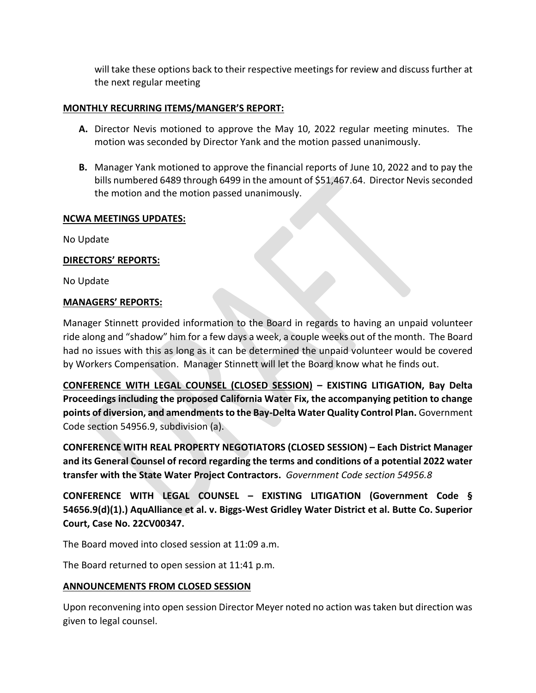will take these options back to their respective meetings for review and discuss further at the next regular meeting

## **MONTHLY RECURRING ITEMS/MANGER'S REPORT:**

- **A.** Director Nevis motioned to approve the May 10, 2022 regular meeting minutes. The motion was seconded by Director Yank and the motion passed unanimously.
- **B.** Manager Yank motioned to approve the financial reports of June 10, 2022 and to pay the bills numbered 6489 through 6499 in the amount of \$51,467.64. Director Nevis seconded the motion and the motion passed unanimously.

### **NCWA MEETINGS UPDATES:**

No Update

### **DIRECTORS' REPORTS:**

No Update

### **MANAGERS' REPORTS:**

Manager Stinnett provided information to the Board in regards to having an unpaid volunteer ride along and "shadow" him for a few days a week, a couple weeks out of the month. The Board had no issues with this as long as it can be determined the unpaid volunteer would be covered by Workers Compensation. Manager Stinnett will let the Board know what he finds out.

**CONFERENCE WITH LEGAL COUNSEL (CLOSED SESSION) – EXISTING LITIGATION, Bay Delta Proceedings including the proposed California Water Fix, the accompanying petition to change points of diversion, and amendments to the Bay-Delta Water Quality Control Plan.** Government Code section 54956.9, subdivision (a).

**CONFERENCE WITH REAL PROPERTY NEGOTIATORS (CLOSED SESSION) – Each District Manager and its General Counsel of record regarding the terms and conditions of a potential 2022 water transfer with the State Water Project Contractors.** *Government Code section 54956.8*

**CONFERENCE WITH LEGAL COUNSEL – EXISTING LITIGATION (Government Code § 54656.9(d)(1).) AquAlliance et al. v. Biggs-West Gridley Water District et al. Butte Co. Superior Court, Case No. 22CV00347.** 

The Board moved into closed session at 11:09 a.m.

The Board returned to open session at 11:41 p.m.

### **ANNOUNCEMENTS FROM CLOSED SESSION**

Upon reconvening into open session Director Meyer noted no action was taken but direction was given to legal counsel.